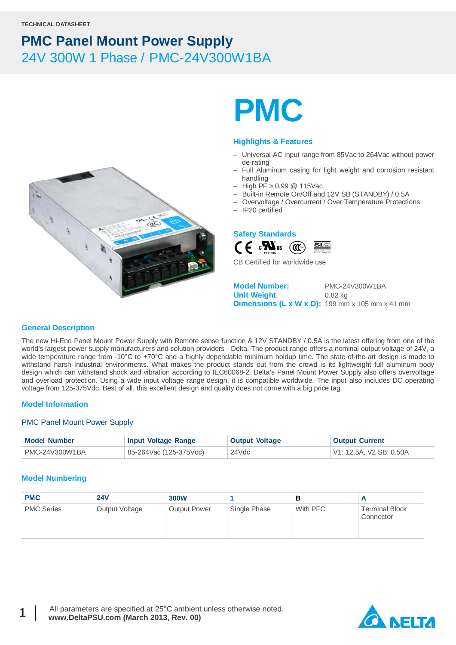

# **PMC**

#### **Highlights & Features**

- Universal AC input range from 85Vac to 264Vac without power de-rating
- Full Aluminum casing for light weight and corrosion resistant handling
- High PF > 0.99 @ 115Vac
- Built-in Remote On/Off and 12V SB (STANDBY) / 0.5A
- Overvoltage / Overcurrent / Over Temperature Protections
- IP20 certified



CB Certified for worldwide use

**Model Number:** PMC-24V300W1BA **Unit Weight**: 0.82 kg **Dimensions (L x W x D):** 199 mm x 105 mm x 41 mm

#### **General Description**

The new Hi-End Panel Mount Power Supply with Remote sense function & 12V STANDBY / 0.5A is the latest offering from one of the world's largest power supply manufacturers and solution providers - Delta. The product range offers a nominal output voltage of 24V, a wide temperature range from -10°C to +70°C and a highly dependable minimum holdup time. The state-of-the-art design is made to withstand harsh industrial environments. What makes the product stands out from the crowd is its lightweight full aluminum body design which can withstand shock and vibration according to IEC60068-2. Delta's Panel Mount Power Supply also offers overvoltage and overload protection. Using a wide input voltage range design, it is compatible worldwide. The input also includes DC operating voltage from 125-375Vdc. Best of all, this excellent design and quality does not come with a big price tag.

#### **Model Information**

#### PMC Panel Mount Power Supply

| <b>Model Number</b> | <b>Input Voltage Range</b> | <b>Output Voltage</b> | <b>Output Current</b>   |
|---------------------|----------------------------|-----------------------|-------------------------|
| PMC-24V300W1BA      | 85-264Vac (125-375Vdc)     | 24Vdc                 | V1: 12.5A. V2 SB: 0.50A |

#### **Model Numbering**

| <b>PMC</b>        | <b>24V</b>     | <b>300W</b>         |              | в        |                                    |
|-------------------|----------------|---------------------|--------------|----------|------------------------------------|
| <b>PMC Series</b> | Output Voltage | <b>Output Power</b> | Single Phase | With PFC | <b>Terminal Block</b><br>Connector |

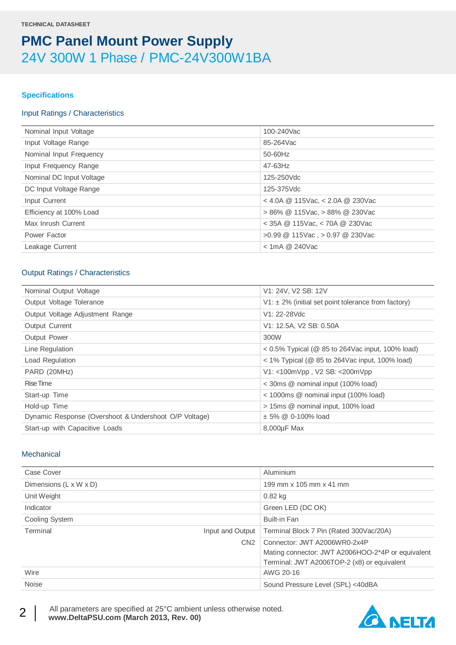#### **Specifications**

#### Input Ratings / Characteristics

| Nominal Input Voltage    | 100-240Vac                           |
|--------------------------|--------------------------------------|
| Input Voltage Range      | 85-264Vac                            |
| Nominal Input Frequency  | 50-60Hz                              |
| Input Frequency Range    | $47 - 63$ Hz                         |
| Nominal DC Input Voltage | 125-250Vdc                           |
| DC Input Voltage Range   | 125-375Vdc                           |
| Input Current            | $<$ 4.0A @ 115Vac, $<$ 2.0A @ 230Vac |
| Efficiency at 100% Load  | $> 86\%$ @ 115Vac, $> 88\%$ @ 230Vac |
| Max Inrush Current       | $<$ 35A @ 115Vac, $<$ 70A @ 230Vac   |
| Power Factor             | $>0.99$ @ 115Vac, $>0.97$ @ 230Vac   |
| Leakage Current          | $<$ 1mA @ 240Vac                     |
|                          |                                      |

#### Output Ratings / Characteristics

| Nominal Output Voltage                                | V1: 24V, V2 SB: 12V                                           |
|-------------------------------------------------------|---------------------------------------------------------------|
| Output Voltage Tolerance                              | $V1: \pm 2\%$ (initial set point tolerance from factory)      |
| Output Voltage Adjustment Range                       | V1: 22-28Vdc                                                  |
| Output Current                                        | V1: 12.5A, V2 SB: 0.50A                                       |
| <b>Output Power</b>                                   | 300W                                                          |
| Line Regulation                                       | $<$ 0.5% Typical ( $\circledR$ 85 to 264Vac input, 100% load) |
| Load Regulation                                       | $<$ 1% Typical ( $\circledR$ 85 to 264Vac input, 100% load)   |
| PARD (20MHz)                                          | V1: <100mVpp, V2 SB: <200mVpp                                 |
| Rise Time                                             | < 30ms @ nominal input (100% load)                            |
| Start-up Time                                         | $<$ 1000ms $\circledcirc$ nominal input (100% load)           |
| Hold-up Time                                          | > 15ms @ nominal input, 100% load                             |
| Dynamic Response (Overshoot & Undershoot O/P Voltage) | ± 5% @ 0-100% load                                            |
| Start-up with Capacitive Loads                        | $8,000\mu F$ Max                                              |

#### **Mechanical**

| Case Cover                   | Aluminium                                         |
|------------------------------|---------------------------------------------------|
| Dimensions (L x W x D)       | 199 mm x 105 mm x 41 mm                           |
| Unit Weight                  | $0.82$ kg                                         |
| Indicator                    | Green LED (DC OK)                                 |
| Cooling System               | <b>Built-in Fan</b>                               |
| Terminal<br>Input and Output | Terminal Block 7 Pin (Rated 300Vac/20A)           |
| CN <sub>2</sub>              | Connector: JWT A2006WR0-2x4P                      |
|                              | Mating connector: JWT A2006HOO-2*4P or equivalent |
|                              | Terminal: JWT A2006TOP-2 (x8) or equivalent       |
| Wire                         | AWG 20-16                                         |
| <b>Noise</b>                 | Sound Pressure Level (SPL) <40dBA                 |

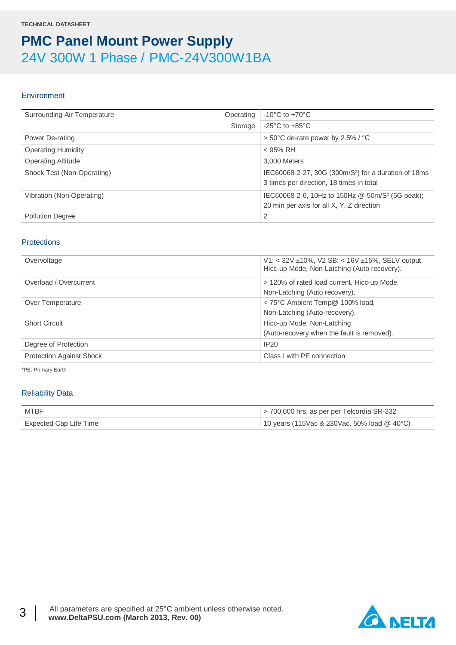#### **Environment**

| Surrounding Air Temperature | Operating | $-10^{\circ}$ C to $+70^{\circ}$ C                                                                           |
|-----------------------------|-----------|--------------------------------------------------------------------------------------------------------------|
|                             | Storage   | $-25^{\circ}$ C to $+85^{\circ}$ C                                                                           |
| Power De-rating             |           | > 50°C de-rate power by 2.5% / °C                                                                            |
| <b>Operating Humidity</b>   |           | $<$ 95% RH                                                                                                   |
| <b>Operating Altitude</b>   |           | 3,000 Meters                                                                                                 |
| Shock Test (Non-Operating)  |           | IEC60068-2-27, 30G (300m/S <sup>2</sup> ) for a duration of 18ms<br>3 times per direction, 18 times in total |
| Vibration (Non-Operating)   |           | IEC60068-2-6, 10Hz to 150Hz @ 50m/S <sup>2</sup> (5G peak);<br>20 min per axis for all X, Y, Z direction     |
| <b>Pollution Degree</b>     |           | 2                                                                                                            |

#### **Protections**

| V1: < 32V ±10%, V2 SB: < 16V ±15%, SELV output,<br>Hicc-up Mode, Non-Latching (Auto recovery). |
|------------------------------------------------------------------------------------------------|
| > 120% of rated load current, Hicc-up Mode,                                                    |
| Non-Latching (Auto recovery).                                                                  |
| < 75°C Ambient Temp@ 100% load,                                                                |
| Non-Latching (Auto-recovery).                                                                  |
| Hicc-up Mode, Non-Latching                                                                     |
| (Auto-recovery when the fault is removed).                                                     |
| IP20                                                                                           |
| Class I with PE connection                                                                     |
|                                                                                                |

\*PE: Primary Earth

#### Reliability Data

| MTBF                   | $>$ 700,000 hrs, as per per Telcordia SR-332  |
|------------------------|-----------------------------------------------|
| Expected Cap Life Time | 10 years (115Vac & 230Vac, 50% load $@$ 40°C) |

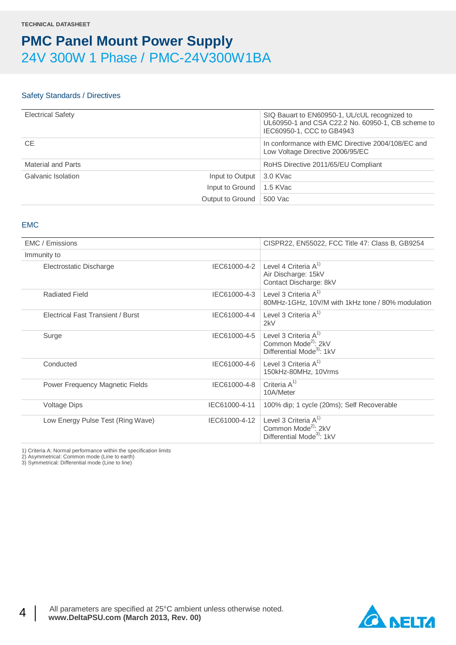#### Safety Standards / Directives

| <b>Electrical Safety</b> | SIQ Bauart to EN60950-1, UL/cUL recognized to<br>UL60950-1 and CSA C22.2 No. 60950-1, CB scheme to<br>IEC60950-1, CCC to GB4943 |
|--------------------------|---------------------------------------------------------------------------------------------------------------------------------|
| <b>CE</b>                | In conformance with EMC Directive 2004/108/EC and<br>Low Voltage Directive 2006/95/EC                                           |
| Material and Parts       | RoHS Directive 2011/65/EU Compliant                                                                                             |
| Galvanic Isolation       | Input to Output 3.0 KVac                                                                                                        |
|                          | Input to Ground   1.5 KVac                                                                                                      |
|                          | Output to Ground 500 Vac                                                                                                        |

#### EMC

| EMC / Emissions                   |               | CISPR22, EN55022, FCC Title 47: Class B, GB9254                                                     |
|-----------------------------------|---------------|-----------------------------------------------------------------------------------------------------|
| Immunity to                       |               |                                                                                                     |
| Electrostatic Discharge           | IEC61000-4-2  | Level 4 Criteria $A^{1}$<br>Air Discharge: 15kV<br>Contact Discharge: 8kV                           |
| <b>Radiated Field</b>             | IEC61000-4-3  | Level 3 Criteria $A^{(1)}$<br>80MHz-1GHz, 10V/M with 1kHz tone / 80% modulation                     |
| Electrical Fast Transient / Burst | IEC61000-4-4  | Level 3 Criteria $A^{1}$<br>2kV                                                                     |
| Surge                             | IEC61000-4-5  | Level 3 Criteria $A^{1}$<br>Common Mode <sup>2)</sup> : 2kV<br>Differential Mode <sup>3</sup> : 1kV |
| Conducted                         | IEC61000-4-6  | Level 3 Criteria $A^{1}$<br>150kHz-80MHz, 10Vrms                                                    |
| Power Frequency Magnetic Fields   | IEC61000-4-8  | Criteria $A^{1}$<br>10A/Meter                                                                       |
| <b>Voltage Dips</b>               | IEC61000-4-11 | 100% dip; 1 cycle (20ms); Self Recoverable                                                          |
| Low Energy Pulse Test (Ring Wave) | IEC61000-4-12 | Level 3 Criteria $A^{1}$<br>Common Mode <sup>2)</sup> : 2kV<br>Differential Mode <sup>3</sup> : 1kV |

1) Criteria A: Normal performance within the specification limits

2) Asymmetrical: Common mode (Line to earth) 3) Symmetrical: Differential mode (Line to line)

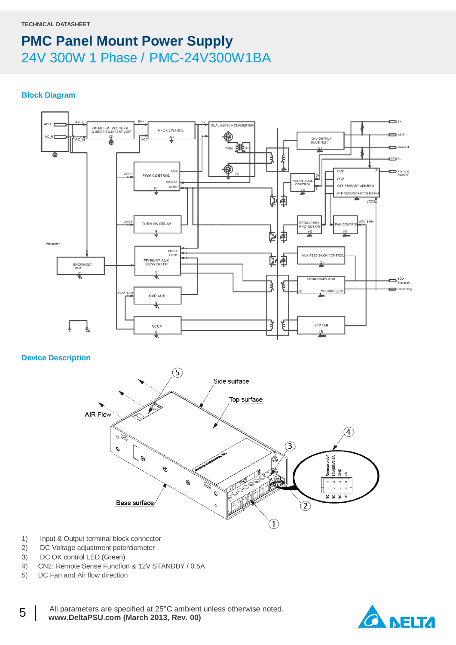#### **Block Diagram**



### **Device Description**



- 1) Input & Output terminal block connector
- 2) DC Voltage adjustment potentiometer
- 3) DC OK control LED (Green)
- 4) CN2: Remote Sense Function & 12V STANDBY / 0.5A
- 5) DC Fan and Air flow direction



5 | All parameters are specified at 25°C ambient unless otherwise noted. www.DeltaPSU.com (March 2013, Rev. 00)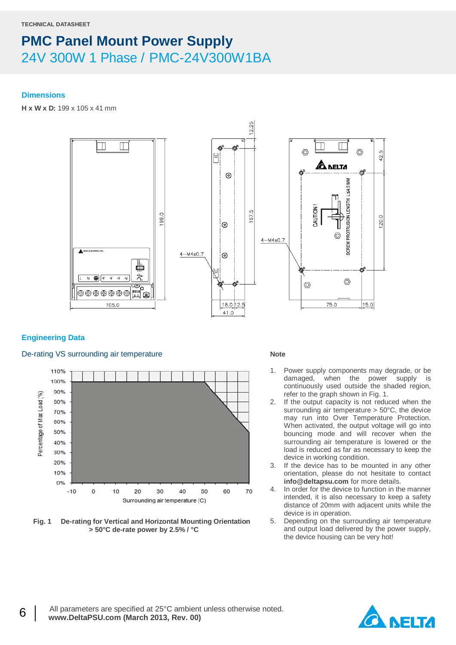#### **Dimensions**

**H x W x D:** 199 x 105 x 41 mm



#### **Engineering Data**

#### De-rating VS surrounding air temperature



**Fig. 1 De-rating for Vertical and Horizontal Mounting Orientation > 50°C de-rate power by 2.5% / °C**

#### **Note**

- 1. Power supply components may degrade, or be damaged, when the power supply is continuously used outside the shaded region, refer to the graph shown in Fig. 1.
- 2. If the output capacity is not reduced when the surrounding air temperature > 50°C, the device may run into Over Temperature Protection. When activated, the output voltage will go into bouncing mode and will recover when the surrounding air temperature is lowered or the load is reduced as far as necessary to keep the device in working condition.
- 3. If the device has to be mounted in any other orientation, please do not hesitate to contact **info@deltapsu.com** for more details.
- 4. In order for the device to function in the manner intended, it is also necessary to keep a safety distance of 20mm with adjacent units while the device is in operation.
- 5. Depending on the surrounding air temperature and output load delivered by the power supply, the device housing can be very hot!

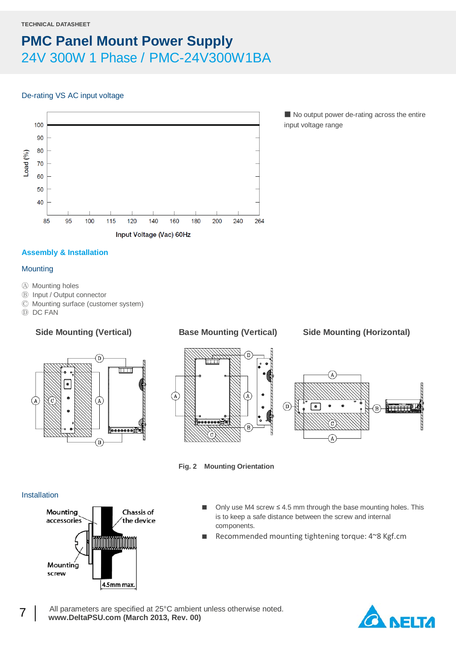#### De-rating VS AC input voltage



■ No output power de-rating across the entire input voltage range

### **Assembly & Installation**

#### **Mounting**

- Ⓐ Mounting holes
- Ⓑ Input / Output connector
- Ⓒ Mounting surface (customer system)
- Ⓓ DC FAN









**Fig. 2 Mounting Orientation**

#### Installation



- Only use M4 screw  $\leq 4.5$  mm through the base mounting holes. This is to keep a safe distance between the screw and internal components.
- Recommended mounting tightening torque: 4~8 Kgf.cm

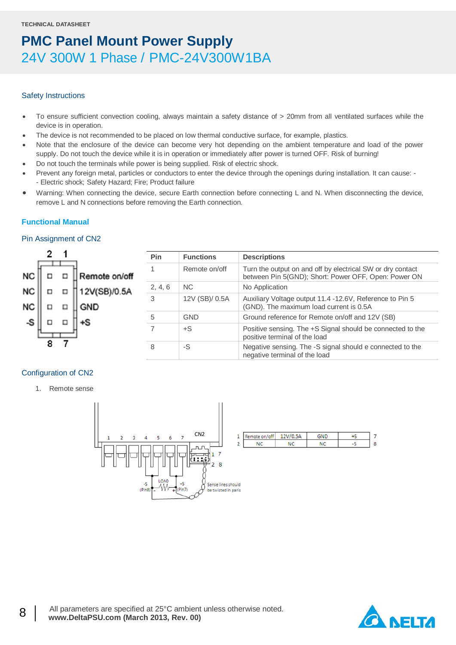#### Safety Instructions

- To ensure sufficient convection cooling, always maintain a safety distance of > 20mm from all ventilated surfaces while the device is in operation.
- The device is not recommended to be placed on low thermal conductive surface, for example, plastics.
- Note that the enclosure of the device can become very hot depending on the ambient temperature and load of the power supply. Do not touch the device while it is in operation or immediately after power is turned OFF. Risk of burning!
- Do not touch the terminals while power is being supplied. Risk of electric shock.
- Prevent any foreign metal, particles or conductors to enter the device through the openings during installation. It can cause: - Electric shock; Safety Hazard; Fire; Product failure
- Warning: When connecting the device, secure Earth connection before connecting L and N. When disconnecting the device, remove L and N connections before removing the Earth connection.

#### **Functional Manual**

#### Pin Assignment of CN2

|           |   |   |               | Pin     | <b>Functions</b> | <b>Descriptions</b>                                                                                                |  |  |
|-----------|---|---|---------------|---------|------------------|--------------------------------------------------------------------------------------------------------------------|--|--|
| <b>NC</b> |   |   | Remote on/off |         | Remote on/off    | Turn the output on and off by electrical SW or dry contact<br>between Pin 5(GND); Short: Power OFF, Open: Power ON |  |  |
| <b>NC</b> |   | □ | 12V(SB)/0.5A  | 2, 4, 6 | NC.              | No Application                                                                                                     |  |  |
| <b>NC</b> |   |   | GND           |         | 12V (SB)/ 0.5A   | Auxiliary Voltage output 11.4 -12.6V, Reference to Pin 5<br>(GND). The maximum load current is 0.5A                |  |  |
|           |   |   |               | 5       | <b>GND</b>       | Ground reference for Remote on/off and 12V (SB)                                                                    |  |  |
|           |   |   |               |         | $+S$             | Positive sensing. The +S Signal should be connected to the<br>positive terminal of the load                        |  |  |
|           | 8 |   |               | 8       | -S               | Negative sensing. The -S signal should e connected to the<br>negative terminal of the load                         |  |  |

#### Configuration of CN2

1. Remote sense





 $\overline{7}$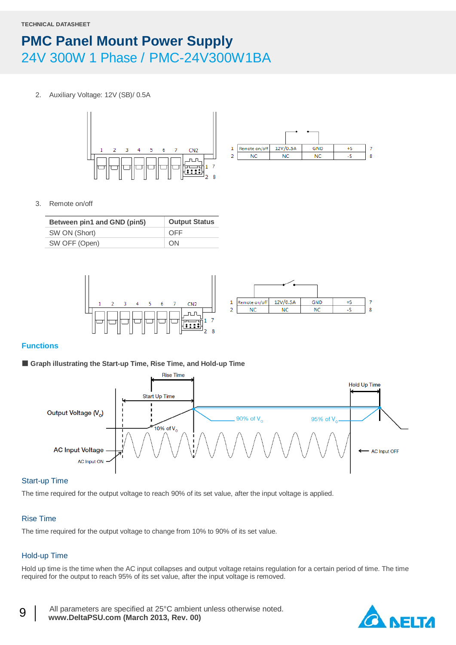2. Auxiliary Voltage: 12V (SB)/ 0.5A





3. Remote on/off

| Between pin1 and GND (pin5) | <b>Output Status</b> |
|-----------------------------|----------------------|
| SW ON (Short)               | OFF                  |
| SW OFF (Open)               | <b>ON</b>            |



#### **Functions**

#### ■ Graph illustrating the Start-up Time, Rise Time, and Hold-up Time



#### Start-up Time

The time required for the output voltage to reach 90% of its set value, after the input voltage is applied.

#### Rise Time

The time required for the output voltage to change from 10% to 90% of its set value.

### Hold-up Time

Hold up time is the time when the AC input collapses and output voltage retains regulation for a certain period of time. The time required for the output to reach 95% of its set value, after the input voltage is removed.

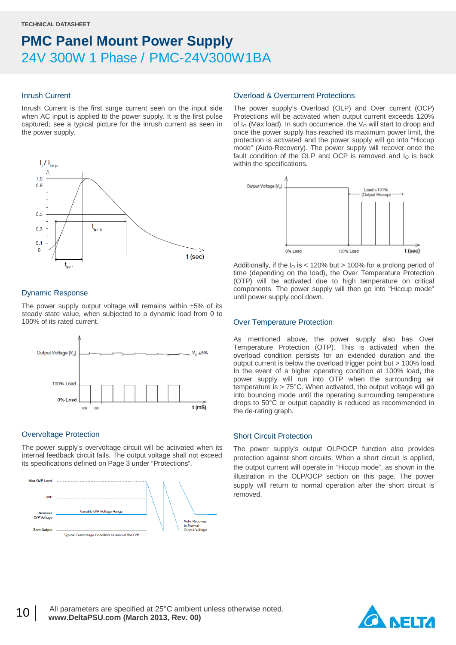#### Inrush Current

Inrush Current is the first surge current seen on the input side when AC input is applied to the power supply. It is the first pulse captured; see a typical picture for the inrush current as seen in the power supply.



#### Dynamic Response

The power supply output voltage will remains within  $±5%$  of its steady state value, when subjected to a dynamic load from 0 to 100% of its rated current.



### Overvoltage Protection

The power supply's overvoltage circuit will be activated when its internal feedback circuit fails. The output voltage shall not exceed its specifications defined on Page 3 under "Protections".



#### Overload & Overcurrent Protections

The power supply's Overload (OLP) and Over current (OCP) Protections will be activated when output current exceeds 120% of  $I<sub>O</sub>$  (Max load). In such occurrence, the  $V<sub>O</sub>$  will start to droop and once the power supply has reached its maximum power limit, the protection is activated and the power supply will go into "Hiccup mode" (Auto-Recovery). The power supply will recover once the fault condition of the OLP and OCP is removed and  $I<sub>O</sub>$  is back within the specifications.



Additionally, if the  $I<sub>O</sub>$  is < 120% but > 100% for a prolong period of time (depending on the load), the Over Temperature Protection (OTP) will be activated due to high temperature on critical components. The power supply will then go into "Hiccup mode" until power supply cool down.

#### Over Temperature Protection

As mentioned above, the power supply also has Over Temperature Protection (OTP). This is activated when the overload condition persists for an extended duration and the output current is below the overload trigger point but > 100% load. In the event of a higher operating condition at 100% load, the power supply will run into OTP when the surrounding air temperature is > 75°C. When activated, the output voltage will go into bouncing mode until the operating surrounding temperature drops to 50°C or output capacity is reduced as recommended in the de-rating graph.

#### Short Circuit Protection

The power supply's output OLP/OCP function also provides protection against short circuits. When a short circuit is applied, the output current will operate in "Hiccup mode", as shown in the illustration in the OLP/OCP section on this page. The power supply will return to normal operation after the short circuit is removed.

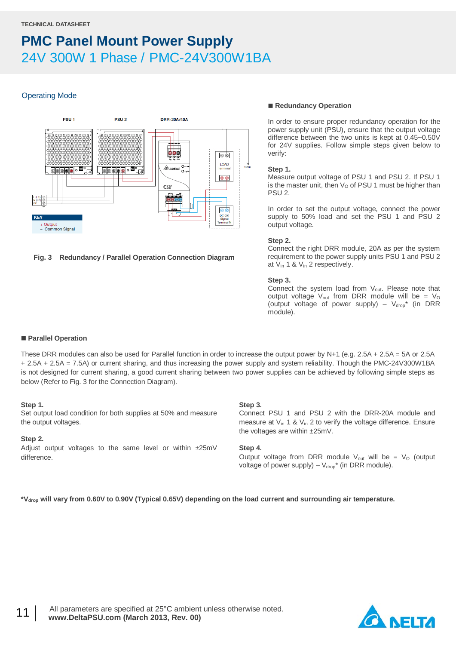#### Operating Mode



#### **Fig. 3 Redundancy / Parallel Operation Connection Diagram**

#### ■ Redundancy Operation

In order to ensure proper redundancy operation for the power supply unit (PSU), ensure that the output voltage difference between the two units is kept at 0.45~0.50V for 24V supplies. Follow simple steps given below to verify:

#### **Step 1.**

Measure output voltage of PSU 1 and PSU 2. If PSU 1 is the master unit, then  $V<sub>O</sub>$  of PSU 1 must be higher than PSU 2.

In order to set the output voltage, connect the power supply to 50% load and set the PSU 1 and PSU 2 output voltage.

#### **Step 2.**

Connect the right DRR module, 20A as per the system requirement to the power supply units PSU 1 and PSU 2 at Vin 1 & Vin 2 respectively.

#### **Step 3.**

Connect the system load from V<sub>out</sub>. Please note that output voltage  $V_{\text{out}}$  from DRR module will be =  $V_{\text{O}}$ (output voltage of power supply) –  $V_{drop}^*$  (in DRR module).

#### **Parallel Operation**

These DRR modules can also be used for Parallel function in order to increase the output power by N+1 (e.g. 2.5A + 2.5A = 5A or 2.5A + 2.5A + 2.5A = 7.5A) or current sharing, and thus increasing the power supply and system reliability. Though the PMC-24V300W1BA is not designed for current sharing, a good current sharing between two power supplies can be achieved by following simple steps as below (Refer to Fig. 3 for the Connection Diagram).

#### **Step 1.**

Set output load condition for both supplies at 50% and measure the output voltages.

#### **Step 2.**

Adjust output voltages to the same level or within ±25mV difference.

#### **Step 3.**

Connect PSU 1 and PSU 2 with the DRR-20A module and measure at V<sub>in</sub> 1 & V<sub>in</sub> 2 to verify the voltage difference. Ensure the voltages are within ±25mV.

#### **Step 4.**

Output voltage from DRR module  $V_{\text{out}}$  will be =  $V_{\text{O}}$  (output voltage of power supply) –  $V_{\text{drop}}^*$  (in DRR module).

**\*Vdrop will vary from 0.60V to 0.90V (Typical 0.65V) depending on the load current and surrounding air temperature.**